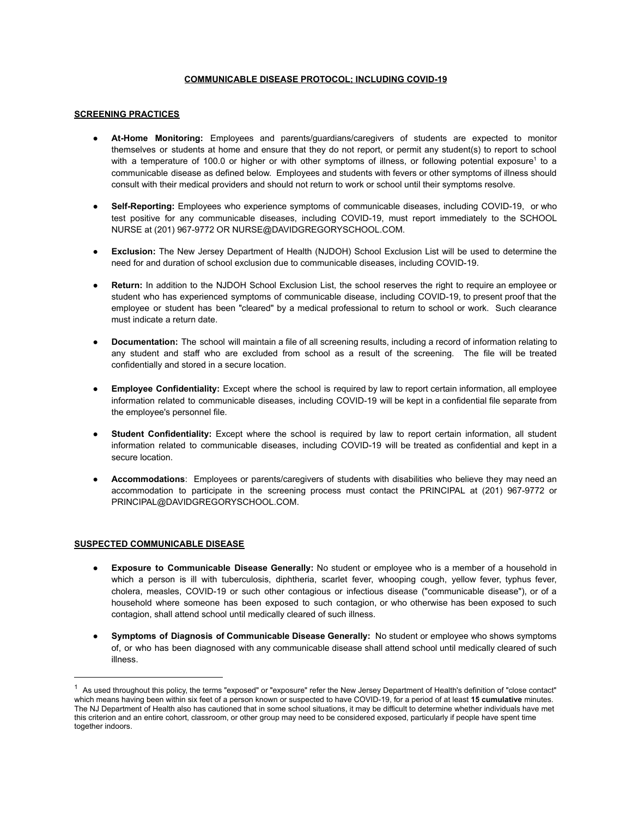### **COMMUNICABLE DISEASE PROTOCOL; INCLUDING COVID-19**

# **SCREENING PRACTICES**

- **At-Home Monitoring:** Employees and parents/guardians/caregivers of students are expected to monitor themselves or students at home and ensure that they do not report, or permit any student(s) to report to school with a temperature of 100.0 or higher or with other symptoms of illness, or following potential exposure<sup>1</sup> to a communicable disease as defined below. Employees and students with fevers or other symptoms of illness should consult with their medical providers and should not return to work or school until their symptoms resolve.
- **Self-Reporting:** Employees who experience symptoms of communicable diseases, including COVID-19, or who test positive for any communicable diseases, including COVID-19, must report immediately to the SCHOOL NURSE at (201) 967-9772 OR NURSE@DAVIDGREGORYSCHOOL.COM.
- **Exclusion:** The New Jersey Department of Health (NJDOH) School Exclusion List will be used to determine the need for and duration of school exclusion due to communicable diseases, including COVID-19.
- **Return:** In addition to the NJDOH School Exclusion List, the school reserves the right to require an employee or student who has experienced symptoms of communicable disease, including COVID-19, to present proof that the employee or student has been "cleared" by a medical professional to return to school or work. Such clearance must indicate a return date.
- **Documentation:** The school will maintain a file of all screening results, including a record of information relating to any student and staff who are excluded from school as a result of the screening. The file will be treated confidentially and stored in a secure location.
- **Employee Confidentiality:** Except where the school is required by law to report certain information, all employee information related to communicable diseases, including COVID-19 will be kept in a confidential file separate from the employee's personnel file.
- Student Confidentiality: Except where the school is required by law to report certain information, all student information related to communicable diseases, including COVID-19 will be treated as confidential and kept in a secure location.
- Accommodations: Employees or parents/caregivers of students with disabilities who believe they may need an accommodation to participate in the screening process must contact the PRINCIPAL at (201) 967-9772 or PRINCIPAL@DAVIDGREGORYSCHOOL.COM.

### **SUSPECTED COMMUNICABLE DISEASE**

- **Exposure to Communicable Disease Generally:** No student or employee who is a member of a household in which a person is ill with tuberculosis, diphtheria, scarlet fever, whooping cough, yellow fever, typhus fever, cholera, measles, COVID-19 or such other contagious or infectious disease ("communicable disease"), or of a household where someone has been exposed to such contagion, or who otherwise has been exposed to such contagion, shall attend school until medically cleared of such illness.
- **Symptoms of Diagnosis of Communicable Disease Generally:** No student or employee who shows symptoms of, or who has been diagnosed with any communicable disease shall attend school until medically cleared of such illness.

 $1$  As used throughout this policy, the terms "exposed" or "exposure" refer the New Jersey Department of Health's definition of "close contact" which means having been within six feet of a person known or suspected to have COVID-19, for a period of at least **15 cumulative** minutes. The NJ Department of Health also has cautioned that in some school situations, it may be difficult to determine whether individuals have met this criterion and an entire cohort, classroom, or other group may need to be considered exposed, particularly if people have spent time together indoors.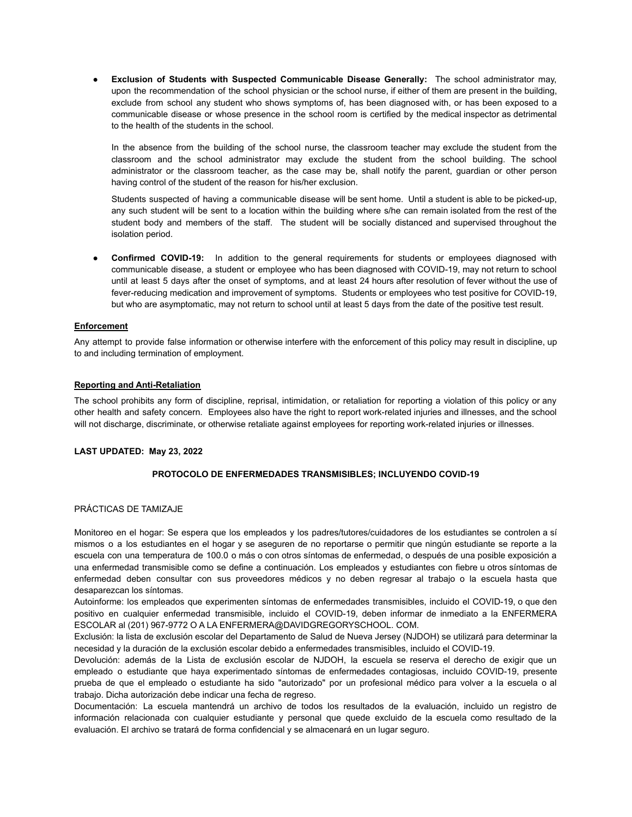● **Exclusion of Students with Suspected Communicable Disease Generally:** The school administrator may, upon the recommendation of the school physician or the school nurse, if either of them are present in the building, exclude from school any student who shows symptoms of, has been diagnosed with, or has been exposed to a communicable disease or whose presence in the school room is certified by the medical inspector as detrimental to the health of the students in the school.

In the absence from the building of the school nurse, the classroom teacher may exclude the student from the classroom and the school administrator may exclude the student from the school building. The school administrator or the classroom teacher, as the case may be, shall notify the parent, guardian or other person having control of the student of the reason for his/her exclusion.

Students suspected of having a communicable disease will be sent home. Until a student is able to be picked-up, any such student will be sent to a location within the building where s/he can remain isolated from the rest of the student body and members of the staff. The student will be socially distanced and supervised throughout the isolation period.

**Confirmed COVID-19:** In addition to the general requirements for students or employees diagnosed with communicable disease, a student or employee who has been diagnosed with COVID-19, may not return to school until at least 5 days after the onset of symptoms, and at least 24 hours after resolution of fever without the use of fever-reducing medication and improvement of symptoms. Students or employees who test positive for COVID-19, but who are asymptomatic, may not return to school until at least 5 days from the date of the positive test result.

# **Enforcement**

Any attempt to provide false information or otherwise interfere with the enforcement of this policy may result in discipline, up to and including termination of employment.

# **Reporting and Anti-Retaliation**

The school prohibits any form of discipline, reprisal, intimidation, or retaliation for reporting a violation of this policy or any other health and safety concern. Employees also have the right to report work-related injuries and illnesses, and the school will not discharge, discriminate, or otherwise retaliate against employees for reporting work-related injuries or illnesses.

### **LAST UPDATED: May 23, 2022**

### **PROTOCOLO DE ENFERMEDADES TRANSMISIBLES; INCLUYENDO COVID-19**

### PRÁCTICAS DE TAMIZAJE

Monitoreo en el hogar: Se espera que los empleados y los padres/tutores/cuidadores de los estudiantes se controlen a sí mismos o a los estudiantes en el hogar y se aseguren de no reportarse o permitir que ningún estudiante se reporte a la escuela con una temperatura de 100.0 o más o con otros síntomas de enfermedad, o después de una posible exposición a una enfermedad transmisible como se define a continuación. Los empleados y estudiantes con fiebre u otros síntomas de enfermedad deben consultar con sus proveedores médicos y no deben regresar al trabajo o la escuela hasta que desaparezcan los síntomas.

Autoinforme: los empleados que experimenten síntomas de enfermedades transmisibles, incluido el COVID-19, o que den positivo en cualquier enfermedad transmisible, incluido el COVID-19, deben informar de inmediato a la ENFERMERA ESCOLAR al (201) 967-9772 O A LA ENFERMERA@DAVIDGREGORYSCHOOL. COM.

Exclusión: la lista de exclusión escolar del Departamento de Salud de Nueva Jersey (NJDOH) se utilizará para determinar la necesidad y la duración de la exclusión escolar debido a enfermedades transmisibles, incluido el COVID-19.

Devolución: además de la Lista de exclusión escolar de NJDOH, la escuela se reserva el derecho de exigir que un empleado o estudiante que haya experimentado síntomas de enfermedades contagiosas, incluido COVID-19, presente prueba de que el empleado o estudiante ha sido "autorizado" por un profesional médico para volver a la escuela o al trabajo. Dicha autorización debe indicar una fecha de regreso.

Documentación: La escuela mantendrá un archivo de todos los resultados de la evaluación, incluido un registro de información relacionada con cualquier estudiante y personal que quede excluido de la escuela como resultado de la evaluación. El archivo se tratará de forma confidencial y se almacenará en un lugar seguro.